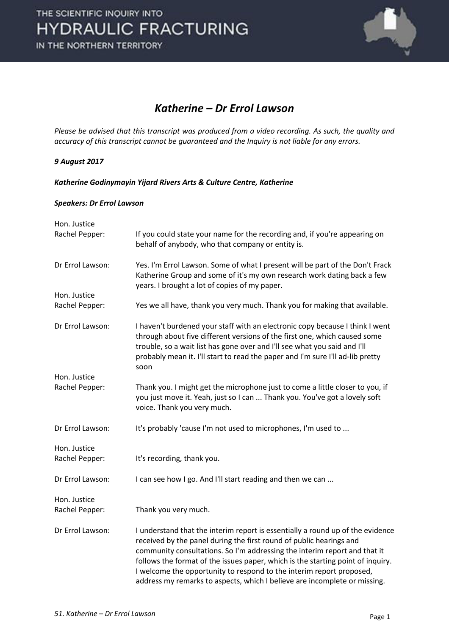

### *Katherine – Dr Errol Lawson*

*Please be advised that this transcript was produced from a video recording. As such, the quality and accuracy of this transcript cannot be guaranteed and the Inquiry is not liable for any errors.* 

### *9 August 2017*

*Katherine Godinymayin Yijard Rivers Arts & Culture Centre, Katherine* 

#### *Speakers: Dr Errol Lawson*

| Hon. Justice     |                                                                                                                                                                                                                                                                                                                                                                                                                                                                            |
|------------------|----------------------------------------------------------------------------------------------------------------------------------------------------------------------------------------------------------------------------------------------------------------------------------------------------------------------------------------------------------------------------------------------------------------------------------------------------------------------------|
| Rachel Pepper:   | If you could state your name for the recording and, if you're appearing on<br>behalf of anybody, who that company or entity is.                                                                                                                                                                                                                                                                                                                                            |
| Dr Errol Lawson: | Yes. I'm Errol Lawson. Some of what I present will be part of the Don't Frack<br>Katherine Group and some of it's my own research work dating back a few<br>years. I brought a lot of copies of my paper.                                                                                                                                                                                                                                                                  |
| Hon. Justice     |                                                                                                                                                                                                                                                                                                                                                                                                                                                                            |
| Rachel Pepper:   | Yes we all have, thank you very much. Thank you for making that available.                                                                                                                                                                                                                                                                                                                                                                                                 |
| Dr Errol Lawson: | I haven't burdened your staff with an electronic copy because I think I went<br>through about five different versions of the first one, which caused some<br>trouble, so a wait list has gone over and I'll see what you said and I'll<br>probably mean it. I'll start to read the paper and I'm sure I'll ad-lib pretty<br>soon                                                                                                                                           |
| Hon. Justice     |                                                                                                                                                                                                                                                                                                                                                                                                                                                                            |
| Rachel Pepper:   | Thank you. I might get the microphone just to come a little closer to you, if<br>you just move it. Yeah, just so I can  Thank you. You've got a lovely soft<br>voice. Thank you very much.                                                                                                                                                                                                                                                                                 |
| Dr Errol Lawson: | It's probably 'cause I'm not used to microphones, I'm used to                                                                                                                                                                                                                                                                                                                                                                                                              |
| Hon. Justice     |                                                                                                                                                                                                                                                                                                                                                                                                                                                                            |
| Rachel Pepper:   | It's recording, thank you.                                                                                                                                                                                                                                                                                                                                                                                                                                                 |
| Dr Errol Lawson: | I can see how I go. And I'll start reading and then we can                                                                                                                                                                                                                                                                                                                                                                                                                 |
| Hon. Justice     |                                                                                                                                                                                                                                                                                                                                                                                                                                                                            |
| Rachel Pepper:   | Thank you very much.                                                                                                                                                                                                                                                                                                                                                                                                                                                       |
| Dr Errol Lawson: | I understand that the interim report is essentially a round up of the evidence<br>received by the panel during the first round of public hearings and<br>community consultations. So I'm addressing the interim report and that it<br>follows the format of the issues paper, which is the starting point of inquiry.<br>I welcome the opportunity to respond to the interim report proposed,<br>address my remarks to aspects, which I believe are incomplete or missing. |
|                  |                                                                                                                                                                                                                                                                                                                                                                                                                                                                            |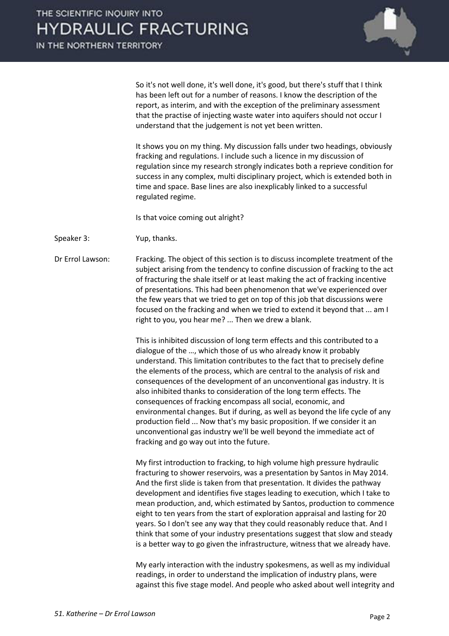

 So it's not well done, it's well done, it's good, but there's stuff that I think has been left out for a number of reasons. I know the description of the report, as interim, and with the exception of the preliminary assessment that the practise of injecting waste water into aquifers should not occur I understand that the judgement is not yet been written.

 It shows you on my thing. My discussion falls under two headings, obviously fracking and regulations. I include such a licence in my discussion of regulation since my research strongly indicates both a reprieve condition for success in any complex, multi disciplinary project, which is extended both in time and space. Base lines are also inexplicably linked to a successful regulated regime.

Is that voice coming out alright?

Speaker 3: Yup, thanks.

Dr Errol Lawson: Fracking. The object of this section is to discuss incomplete treatment of the subject arising from the tendency to confine discussion of fracking to the act of fracturing the shale itself or at least making the act of fracking incentive of presentations. This had been phenomenon that we've experienced over the few years that we tried to get on top of this job that discussions were focused on the fracking and when we tried to extend it beyond that ... am I right to you, you hear me? ... Then we drew a blank.

> This is inhibited discussion of long term effects and this contributed to a dialogue of the ..., which those of us who already know it probably understand. This limitation contributes to the fact that to precisely define the elements of the process, which are central to the analysis of risk and consequences of the development of an unconventional gas industry. It is also inhibited thanks to consideration of the long term effects. The consequences of fracking encompass all social, economic, and environmental changes. But if during, as well as beyond the life cycle of any production field ... Now that's my basic proposition. If we consider it an unconventional gas industry we'll be well beyond the immediate act of fracking and go way out into the future.

 My first introduction to fracking, to high volume high pressure hydraulic fracturing to shower reservoirs, was a presentation by Santos in May 2014. And the first slide is taken from that presentation. It divides the pathway development and identifies five stages leading to execution, which I take to mean production, and, which estimated by Santos, production to commence eight to ten years from the start of exploration appraisal and lasting for 20 years. So I don't see any way that they could reasonably reduce that. And I think that some of your industry presentations suggest that slow and steady is a better way to go given the infrastructure, witness that we already have.

 My early interaction with the industry spokesmens, as well as my individual readings, in order to understand the implication of industry plans, were against this five stage model. And people who asked about well integrity and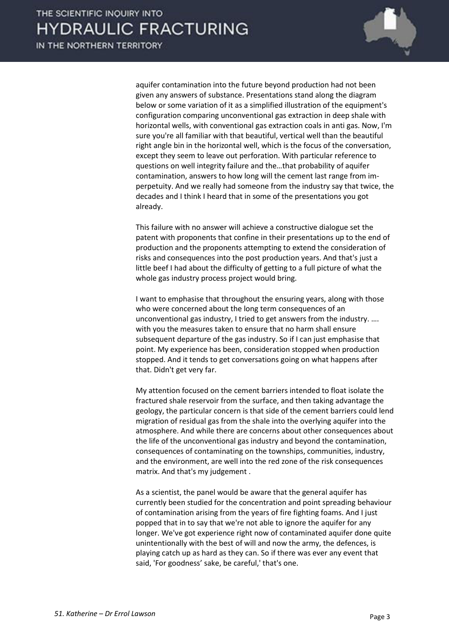

aquifer contamination into the future beyond production had not been given any answers of substance. Presentations stand along the diagram below or some variation of it as a simplified illustration of the equipment's configuration comparing unconventional gas extraction in deep shale with horizontal wells, with conventional gas extraction coals in anti gas. Now, I'm sure you're all familiar with that beautiful, vertical well than the beautiful right angle bin in the horizontal well, which is the focus of the conversation, except they seem to leave out perforation. With particular reference to questions on well integrity failure and the…that probability of aquifer contamination, answers to how long will the cement last range from imperpetuity. And we really had someone from the industry say that twice, the decades and I think I heard that in some of the presentations you got already.

 This failure with no answer will achieve a constructive dialogue set the patent with proponents that confine in their presentations up to the end of production and the proponents attempting to extend the consideration of risks and consequences into the post production years. And that's just a little beef I had about the difficulty of getting to a full picture of what the whole gas industry process project would bring.

 I want to emphasise that throughout the ensuring years, along with those who were concerned about the long term consequences of an unconventional gas industry, I tried to get answers from the industry. .... with you the measures taken to ensure that no harm shall ensure subsequent departure of the gas industry. So if I can just emphasise that point. My experience has been, consideration stopped when production stopped. And it tends to get conversations going on what happens after that. Didn't get very far.

 My attention focused on the cement barriers intended to float isolate the fractured shale reservoir from the surface, and then taking advantage the geology, the particular concern is that side of the cement barriers could lend migration of residual gas from the shale into the overlying aquifer into the atmosphere. And while there are concerns about other consequences about the life of the unconventional gas industry and beyond the contamination, consequences of contaminating on the townships, communities, industry, and the environment, are well into the red zone of the risk consequences matrix. And that's my judgement .

 As a scientist, the panel would be aware that the general aquifer has currently been studied for the concentration and point spreading behaviour of contamination arising from the years of fire fighting foams. And I just popped that in to say that we're not able to ignore the aquifer for any longer. We've got experience right now of contaminated aquifer done quite unintentionally with the best of will and now the army, the defences, is playing catch up as hard as they can. So if there was ever any event that said, 'For goodness' sake, be careful,' that's one.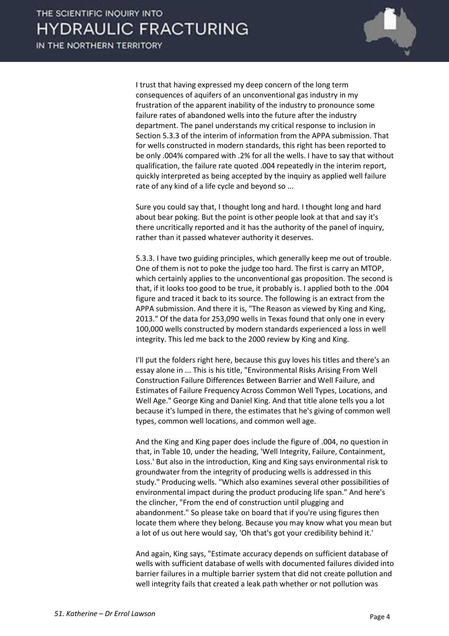

 I trust that having expressed my deep concern of the long term consequences of aquifers of an unconventional gas industry in my frustration of the apparent inability of the industry to pronounce some failure rates of abandoned wells into the future after the industry department. The panel understands my critical response to inclusion in Section 5.3.3 of the interim of information from the APPA submission. That for wells constructed in modern standards, this right has been reported to be only .004% compared with .2% for all the wells. I have to say that without qualification, the failure rate quoted .004 repeatedly in the interim report, quickly interpreted as being accepted by the inquiry as applied well failure rate of any kind of a life cycle and beyond so ...

 Sure you could say that, I thought long and hard. I thought long and hard about bear poking. But the point is other people look at that and say it's there uncritically reported and it has the authority of the panel of inquiry, rather than it passed whatever authority it deserves.

 5.3.3. I have two guiding principles, which generally keep me out of trouble. One of them is not to poke the judge too hard. The first is carry an MTOP, which certainly applies to the unconventional gas proposition. The second is that, if it looks too good to be true, it probably is. I applied both to the .004 figure and traced it back to its source. The following is an extract from the APPA submission. And there it is, "The Reason as viewed by King and King, 2013." Of the data for 253,090 wells in Texas found that only one in every 100,000 wells constructed by modern standards experienced a loss in well integrity. This led me back to the 2000 review by King and King.

 I'll put the folders right here, because this guy loves his titles and there's an essay alone in ... This is his title, "Environmental Risks Arising From Well Construction Failure Differences Between Barrier and Well Failure, and Estimates of Failure Frequency Across Common Well Types, Locations, and Well Age." George King and Daniel King. And that title alone tells you a lot because it's lumped in there, the estimates that he's giving of common well types, common well locations, and common well age.

 And the King and King paper does include the figure of .004, no question in that, in Table 10, under the heading, 'Well Integrity, Failure, Containment, Loss.' But also in the introduction, King and King says environmental risk to groundwater from the integrity of producing wells is addressed in this study." Producing wells. "Which also examines several other possibilities of environmental impact during the product producing life span." And here's the clincher, "From the end of construction until plugging and abandonment." So please take on board that if you're using figures then locate them where they belong. Because you may know what you mean but a lot of us out here would say, 'Oh that's got your credibility behind it.'

 And again, King says, "Estimate accuracy depends on sufficient database of wells with sufficient database of wells with documented failures divided into barrier failures in a multiple barrier system that did not create pollution and well integrity fails that created a leak path whether or not pollution was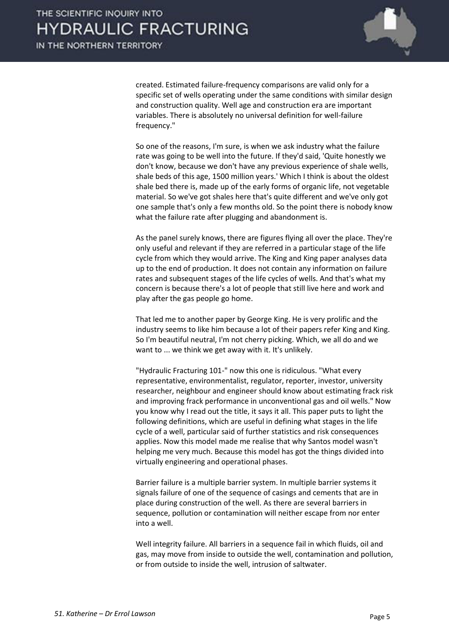

created. Estimated failure-frequency comparisons are valid only for a specific set of wells operating under the same conditions with similar design and construction quality. Well age and construction era are important variables. There is absolutely no universal definition for well-failure frequency."

 So one of the reasons, I'm sure, is when we ask industry what the failure rate was going to be well into the future. If they'd said, 'Quite honestly we don't know, because we don't have any previous experience of shale wells, shale beds of this age, 1500 million years.' Which I think is about the oldest shale bed there is, made up of the early forms of organic life, not vegetable material. So we've got shales here that's quite different and we've only got one sample that's only a few months old. So the point there is nobody know what the failure rate after plugging and abandonment is.

 As the panel surely knows, there are figures flying all over the place. They're only useful and relevant if they are referred in a particular stage of the life cycle from which they would arrive. The King and King paper analyses data up to the end of production. It does not contain any information on failure rates and subsequent stages of the life cycles of wells. And that's what my concern is because there's a lot of people that still live here and work and play after the gas people go home.

 That led me to another paper by George King. He is very prolific and the industry seems to like him because a lot of their papers refer King and King. So I'm beautiful neutral, I'm not cherry picking. Which, we all do and we want to ... we think we get away with it. It's unlikely.

 "Hydraulic Fracturing 101-" now this one is ridiculous. "What every representative, environmentalist, regulator, reporter, investor, university researcher, neighbour and engineer should know about estimating frack risk and improving frack performance in unconventional gas and oil wells." Now you know why I read out the title, it says it all. This paper puts to light the following definitions, which are useful in defining what stages in the life cycle of a well, particular said of further statistics and risk consequences applies. Now this model made me realise that why Santos model wasn't helping me very much. Because this model has got the things divided into virtually engineering and operational phases.

 Barrier failure is a multiple barrier system. In multiple barrier systems it signals failure of one of the sequence of casings and cements that are in place during construction of the well. As there are several barriers in sequence, pollution or contamination will neither escape from nor enter into a well.

 Well integrity failure. All barriers in a sequence fail in which fluids, oil and gas, may move from inside to outside the well, contamination and pollution, or from outside to inside the well, intrusion of saltwater.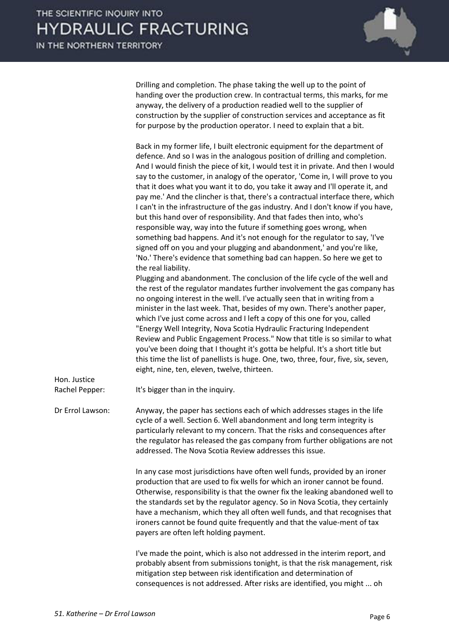

 Drilling and completion. The phase taking the well up to the point of handing over the production crew. In contractual terms, this marks, for me anyway, the delivery of a production readied well to the supplier of construction by the supplier of construction services and acceptance as fit for purpose by the production operator. I need to explain that a bit.

| Back in my former life, I built electronic equipment for the department of         |
|------------------------------------------------------------------------------------|
| defence. And so I was in the analogous position of drilling and completion.        |
| And I would finish the piece of kit, I would test it in private. And then I would  |
| say to the customer, in analogy of the operator, 'Come in, I will prove to you     |
| that it does what you want it to do, you take it away and I'll operate it, and     |
| pay me.' And the clincher is that, there's a contractual interface there, which    |
| I can't in the infrastructure of the gas industry. And I don't know if you have,   |
| but this hand over of responsibility. And that fades then into, who's              |
| responsible way, way into the future if something goes wrong, when                 |
| something bad happens. And it's not enough for the regulator to say, 'I've         |
| signed off on you and your plugging and abandonment,' and you're like,             |
| 'No.' There's evidence that something bad can happen. So here we get to            |
| the real liability.                                                                |
| Plugging and abandonment. The conclusion of the life cycle of the well and         |
| the rest of the regulator mandates further involvement the gas company has         |
| no ongoing interest in the well. I've actually seen that in writing from a         |
| minister in the last week. That, besides of my own. There's another paper,         |
| which I've just come across and I left a copy of this one for you, called          |
| "Energy Well Integrity, Nova Scotia Hydraulic Fracturing Independent               |
| Review and Public Engagement Process." Now that title is so similar to what        |
| you've been doing that I thought it's gotta be helpful. It's a short title but     |
| this time the list of panellists is huge. One, two, three, four, five, six, seven, |
| eight, nine, ten, eleven, twelve, thirteen.                                        |

Hon. Justice

Rachel Pepper: It's bigger than in the inquiry.

Dr Errol Lawson: Anyway, the paper has sections each of which addresses stages in the life cycle of a well. Section 6. Well abandonment and long term integrity is particularly relevant to my concern. That the risks and consequences after the regulator has released the gas company from further obligations are not addressed. The Nova Scotia Review addresses this issue.

> In any case most jurisdictions have often well funds, provided by an ironer production that are used to fix wells for which an ironer cannot be found. Otherwise, responsibility is that the owner fix the leaking abandoned well to the standards set by the regulator agency. So in Nova Scotia, they certainly have a mechanism, which they all often well funds, and that recognises that ironers cannot be found quite frequently and that the value-ment of tax payers are often left holding payment.

> I've made the point, which is also not addressed in the interim report, and probably absent from submissions tonight, is that the risk management, risk mitigation step between risk identification and determination of consequences is not addressed. After risks are identified, you might ... oh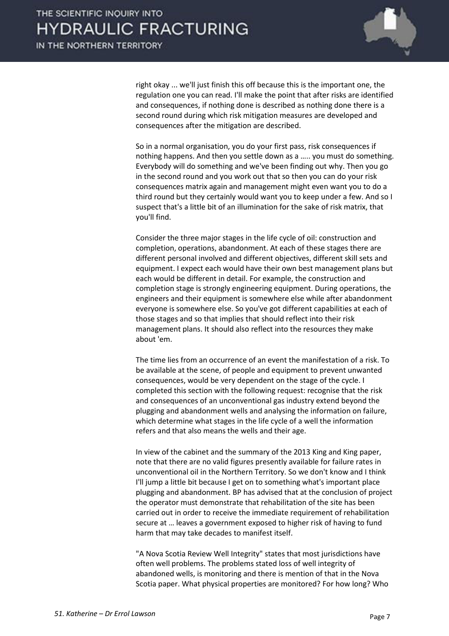

right okay ... we'll just finish this off because this is the important one, the regulation one you can read. I'll make the point that after risks are identified and consequences, if nothing done is described as nothing done there is a second round during which risk mitigation measures are developed and consequences after the mitigation are described.

 So in a normal organisation, you do your first pass, risk consequences if nothing happens. And then you settle down as a ..... you must do something. Everybody will do something and we've been finding out why. Then you go in the second round and you work out that so then you can do your risk consequences matrix again and management might even want you to do a third round but they certainly would want you to keep under a few. And so I suspect that's a little bit of an illumination for the sake of risk matrix, that you'll find.

 Consider the three major stages in the life cycle of oil: construction and completion, operations, abandonment. At each of these stages there are different personal involved and different objectives, different skill sets and equipment. I expect each would have their own best management plans but each would be different in detail. For example, the construction and completion stage is strongly engineering equipment. During operations, the engineers and their equipment is somewhere else while after abandonment everyone is somewhere else. So you've got different capabilities at each of those stages and so that implies that should reflect into their risk management plans. It should also reflect into the resources they make about 'em.

 The time lies from an occurrence of an event the manifestation of a risk. To be available at the scene, of people and equipment to prevent unwanted consequences, would be very dependent on the stage of the cycle. I completed this section with the following request: recognise that the risk and consequences of an unconventional gas industry extend beyond the plugging and abandonment wells and analysing the information on failure, which determine what stages in the life cycle of a well the information refers and that also means the wells and their age.

 In view of the cabinet and the summary of the 2013 King and King paper, note that there are no valid figures presently available for failure rates in unconventional oil in the Northern Territory. So we don't know and I think I'll jump a little bit because I get on to something what's important place plugging and abandonment. BP has advised that at the conclusion of project the operator must demonstrate that rehabilitation of the site has been carried out in order to receive the immediate requirement of rehabilitation secure at ... leaves a government exposed to higher risk of having to fund harm that may take decades to manifest itself.

 "A Nova Scotia Review Well Integrity" states that most jurisdictions have often well problems. The problems stated loss of well integrity of abandoned wells, is monitoring and there is mention of that in the Nova Scotia paper. What physical properties are monitored? For how long? Who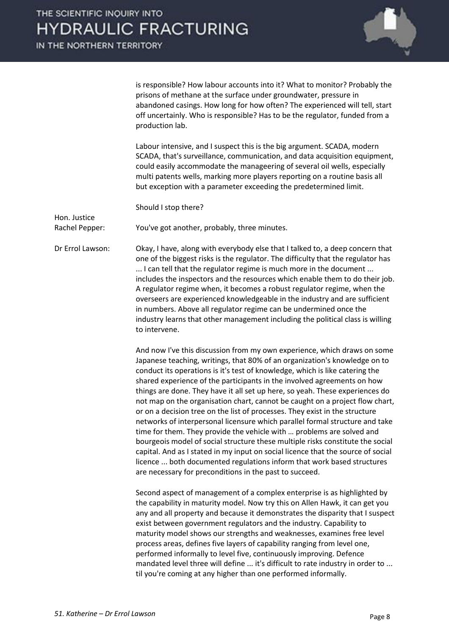IN THE NORTHERN TERRITORY

Hon. Justice



is responsible? How labour accounts into it? What to monitor? Probably the prisons of methane at the surface under groundwater, pressure in abandoned casings. How long for how often? The experienced will tell, start off uncertainly. Who is responsible? Has to be the regulator, funded from a production lab.

 Labour intensive, and I suspect this is the big argument. SCADA, modern SCADA, that's surveillance, communication, and data acquisition equipment, could easily accommodate the manageering of several oil wells, especially multi patents wells, marking more players reporting on a routine basis all but exception with a parameter exceeding the predetermined limit.

Should I stop there?

Rachel Pepper: You've got another, probably, three minutes.

Dr Errol Lawson: Okay, I have, along with everybody else that I talked to, a deep concern that one of the biggest risks is the regulator. The difficulty that the regulator has ... I can tell that the regulator regime is much more in the document ... includes the inspectors and the resources which enable them to do their job. A regulator regime when, it becomes a robust regulator regime, when the overseers are experienced knowledgeable in the industry and are sufficient in numbers. Above all regulator regime can be undermined once the industry learns that other management including the political class is willing to intervene.

> And now I've this discussion from my own experience, which draws on some Japanese teaching, writings, that 80% of an organization's knowledge on to conduct its operations is it's test of knowledge, which is like catering the shared experience of the participants in the involved agreements on how things are done. They have it all set up here, so yeah. These experiences do not map on the organisation chart, cannot be caught on a project flow chart, or on a decision tree on the list of processes. They exist in the structure networks of interpersonal licensure which parallel formal structure and take time for them. They provide the vehicle with ... problems are solved and bourgeois model of social structure these multiple risks constitute the social capital. And as I stated in my input on social licence that the source of social licence ... both documented regulations inform that work based structures are necessary for preconditions in the past to succeed.

> Second aspect of management of a complex enterprise is as highlighted by the capability in maturity model. Now try this on Allen Hawk, it can get you any and all property and because it demonstrates the disparity that I suspect exist between government regulators and the industry. Capability to maturity model shows our strengths and weaknesses, examines free level process areas, defines five layers of capability ranging from level one, performed informally to level five, continuously improving. Defence mandated level three will define ... it's difficult to rate industry in order to ... til you're coming at any higher than one performed informally.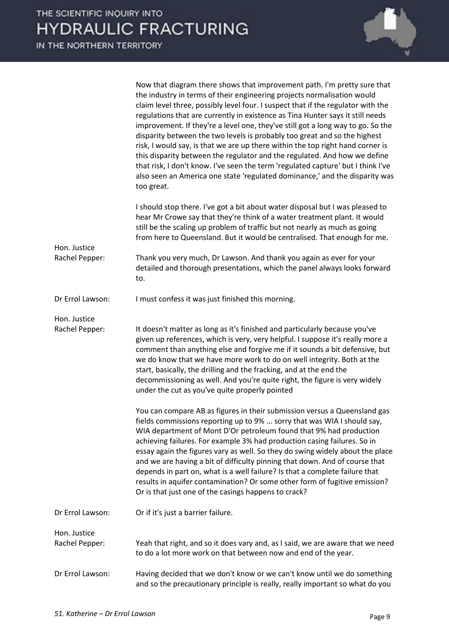Now that diagram there shows that improvement path. I'm pretty sure that the industry in terms of their engineering projects normalisation would claim level three, possibly level four. I suspect that if the regulator with the regulations that are currently in existence as Tina Hunter says it still needs improvement. If they're a level one, they've still got a long way to go. So the disparity between the two levels is probably too great and so the highest risk, I would say, is that we are up there within the top right hand corner is this disparity between the regulator and the regulated. And how we define that risk, I don't know. I've seen the term 'regulated capture' but I think I've also seen an America one state 'regulated dominance,' and the disparity was too great. I should stop there. I've got a bit about water disposal but I was pleased to hear Mr Crowe say that they're think of a water treatment plant. It would still be the scaling up problem of traffic but not nearly as much as going from here to Queensland. But it would be centralised. That enough for me. Hon. Justice Rachel Pepper: Thank you very much, Dr Lawson. And thank you again as ever for your detailed and thorough presentations, which the panel always looks forward to. Dr Errol Lawson: I must confess it was just finished this morning. Hon. Justice Rachel Pepper: It doesn't matter as long as it's finished and particularly because you've given up references, which is very, very helpful. I suppose it's really more a comment than anything else and forgive me if it sounds a bit defensive, but we do know that we have more work to do on well integrity. Both at the start, basically, the drilling and the fracking, and at the end the decommissioning as well. And you're quite right, the figure is very widely under the cut as you've quite properly pointed You can compare AB as figures in their submission versus a Queensland gas fields commissions reporting up to 9% ... sorry that was WIA I should say, WIA department of Mont D'Or petroleum found that 9% had production achieving failures. For example 3% had production casing failures. So in essay again the figures vary as well. So they do swing widely about the place and we are having a bit of difficulty pinning that down. And of course that depends in part on, what is a well failure? Is that a complete failure that results in aquifer contamination? Or some other form of fugitive emission? Or is that just one of the casings happens to crack? Dr Errol Lawson: Or if it's just a barrier failure. Hon. Justice Rachel Pepper: Yeah that right, and so it does vary and, as I said, we are aware that we need to do a lot more work on that between now and end of the year. Dr Errol Lawson: Having decided that we don't know or we can't know until we do something and so the precautionary principle is really, really important so what do you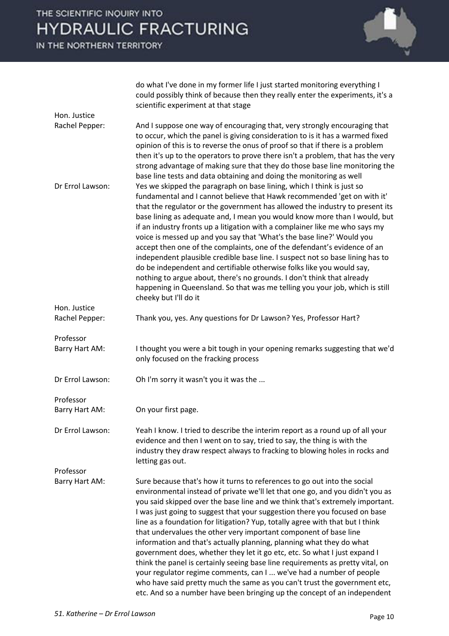THE SCIENTIFIC INQUIRY INTO **HYDRAULIC FRACTURING** 

IN THE NORTHERN TERRITORY



do what I've done in my former life I just started monitoring everything I could possibly think of because then they really enter the experiments, it's a scientific experiment at that stage

| Hon. Justice     |                                                                                                                                                                                                                                                                                                                                                                                                                                                                                                                                                                                                                                                                                                                                                                                                                                                                                                                                                     |
|------------------|-----------------------------------------------------------------------------------------------------------------------------------------------------------------------------------------------------------------------------------------------------------------------------------------------------------------------------------------------------------------------------------------------------------------------------------------------------------------------------------------------------------------------------------------------------------------------------------------------------------------------------------------------------------------------------------------------------------------------------------------------------------------------------------------------------------------------------------------------------------------------------------------------------------------------------------------------------|
| Rachel Pepper:   | And I suppose one way of encouraging that, very strongly encouraging that<br>to occur, which the panel is giving consideration to is it has a warmed fixed<br>opinion of this is to reverse the onus of proof so that if there is a problem<br>then it's up to the operators to prove there isn't a problem, that has the very<br>strong advantage of making sure that they do those base line monitoring the<br>base line tests and data obtaining and doing the monitoring as well                                                                                                                                                                                                                                                                                                                                                                                                                                                                |
| Dr Errol Lawson: | Yes we skipped the paragraph on base lining, which I think is just so<br>fundamental and I cannot believe that Hawk recommended 'get on with it'<br>that the regulator or the government has allowed the industry to present its<br>base lining as adequate and, I mean you would know more than I would, but<br>if an industry fronts up a litigation with a complainer like me who says my<br>voice is messed up and you say that 'What's the base line?' Would you<br>accept then one of the complaints, one of the defendant's evidence of an<br>independent plausible credible base line. I suspect not so base lining has to<br>do be independent and certifiable otherwise folks like you would say,<br>nothing to argue about, there's no grounds. I don't think that already<br>happening in Queensland. So that was me telling you your job, which is still<br>cheeky but I'll do it                                                      |
| Hon. Justice     |                                                                                                                                                                                                                                                                                                                                                                                                                                                                                                                                                                                                                                                                                                                                                                                                                                                                                                                                                     |
| Rachel Pepper:   | Thank you, yes. Any questions for Dr Lawson? Yes, Professor Hart?                                                                                                                                                                                                                                                                                                                                                                                                                                                                                                                                                                                                                                                                                                                                                                                                                                                                                   |
| Professor        |                                                                                                                                                                                                                                                                                                                                                                                                                                                                                                                                                                                                                                                                                                                                                                                                                                                                                                                                                     |
| Barry Hart AM:   | I thought you were a bit tough in your opening remarks suggesting that we'd<br>only focused on the fracking process                                                                                                                                                                                                                                                                                                                                                                                                                                                                                                                                                                                                                                                                                                                                                                                                                                 |
| Dr Errol Lawson: | Oh I'm sorry it wasn't you it was the                                                                                                                                                                                                                                                                                                                                                                                                                                                                                                                                                                                                                                                                                                                                                                                                                                                                                                               |
| Professor        |                                                                                                                                                                                                                                                                                                                                                                                                                                                                                                                                                                                                                                                                                                                                                                                                                                                                                                                                                     |
| Barry Hart AM:   | On your first page.                                                                                                                                                                                                                                                                                                                                                                                                                                                                                                                                                                                                                                                                                                                                                                                                                                                                                                                                 |
| Dr Errol Lawson: | Yeah I know. I tried to describe the interim report as a round up of all your<br>evidence and then I went on to say, tried to say, the thing is with the<br>industry they draw respect always to fracking to blowing holes in rocks and<br>letting gas out.                                                                                                                                                                                                                                                                                                                                                                                                                                                                                                                                                                                                                                                                                         |
| Professor        |                                                                                                                                                                                                                                                                                                                                                                                                                                                                                                                                                                                                                                                                                                                                                                                                                                                                                                                                                     |
| Barry Hart AM:   | Sure because that's how it turns to references to go out into the social<br>environmental instead of private we'll let that one go, and you didn't you as<br>you said skipped over the base line and we think that's extremely important.<br>I was just going to suggest that your suggestion there you focused on base<br>line as a foundation for litigation? Yup, totally agree with that but I think<br>that undervalues the other very important component of base line<br>information and that's actually planning, planning what they do what<br>government does, whether they let it go etc, etc. So what I just expand I<br>think the panel is certainly seeing base line requirements as pretty vital, on<br>your regulator regime comments, can I  we've had a number of people<br>who have said pretty much the same as you can't trust the government etc,<br>etc. And so a number have been bringing up the concept of an independent |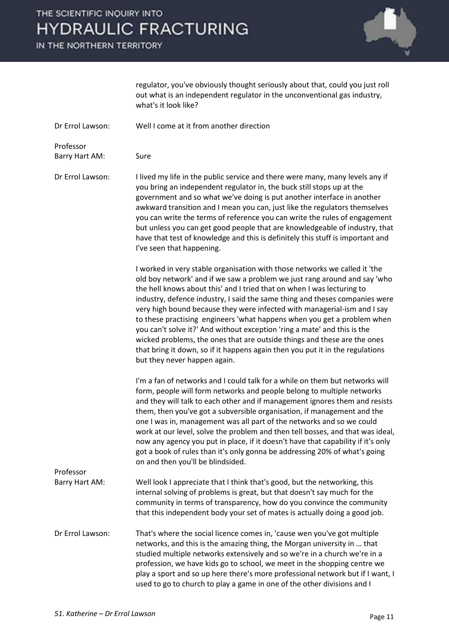# THE SCIENTIFIC INQUIRY INTO **HYDRAULIC FRACTURING**

IN THE NORTHERN TERRITORY



regulator, you've obviously thought seriously about that, could you just roll out what is an independent regulator in the unconventional gas industry, what's it look like?

Dr Errol Lawson: Well I come at it from another direction

Barry Hart AM: Sure

Professor

Dr Errol Lawson: I lived my life in the public service and there were many, many levels any if you bring an independent regulator in, the buck still stops up at the government and so what we've doing is put another interface in another awkward transition and I mean you can, just like the regulators themselves you can write the terms of reference you can write the rules of engagement but unless you can get good people that are knowledgeable of industry, that have that test of knowledge and this is definitely this stuff is important and I've seen that happening.

> I worked in very stable organisation with those networks we called it 'the old boy network' and if we saw a problem we just rang around and say 'who the hell knows about this' and I tried that on when I was lecturing to industry, defence industry, I said the same thing and theses companies were very high bound because they were infected with managerial-ism and I say to these practising engineers 'what happens when you get a problem when you can't solve it?' And without exception 'ring a mate' and this is the wicked problems, the ones that are outside things and these are the ones that bring it down, so if it happens again then you put it in the regulations but they never happen again.

 I'm a fan of networks and I could talk for a while on them but networks will form, people will form networks and people belong to multiple networks and they will talk to each other and if management ignores them and resists them, then you've got a subversible organisation, if management and the one I was in, management was all part of the networks and so we could work at our level, solve the problem and then tell bosses, and that was ideal, now any agency you put in place, if it doesn't have that capability if it's only got a book of rules than it's only gonna be addressing 20% of what's going on and then you'll be blindsided.

- Barry Hart AM: Well look I appreciate that I think that's good, but the networking, this internal solving of problems is great, but that doesn't say much for the community in terms of transparency, how do you convince the community that this independent body your set of mates is actually doing a good job.
- Dr Errol Lawson: That's where the social licence comes in, 'cause wen you've got multiple networks, and this is the amazing thing, the Morgan university in ... that studied multiple networks extensively and so we're in a church we're in a profession, we have kids go to school, we meet in the shopping centre we play a sport and so up here there's more professional network but if I want, I used to go to church to play a game in one of the other divisions and I

Professor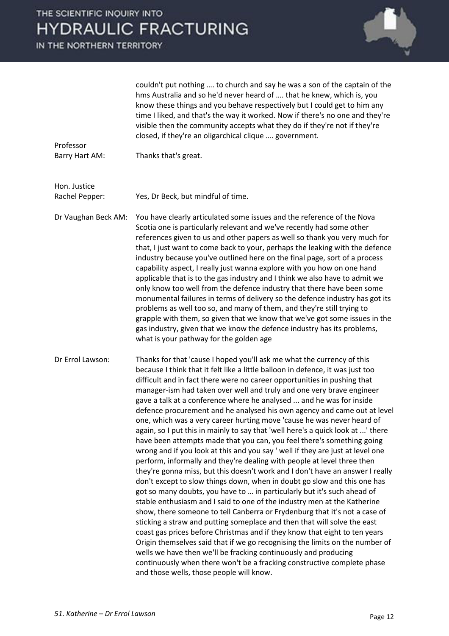# THE SCIENTIFIC INQUIRY INTO **HYDRAULIC FRACTURING**

IN THE NORTHERN TERRITORY



couldn't put nothing .... to church and say he was a son of the captain of the hms Australia and so he'd never heard of .... that he knew, which is, you know these things and you behave respectively but I could get to him any time I liked, and that's the way it worked. Now if there's no one and they're visible then the community accepts what they do if they're not if they're closed, if they're an oligarchical clique .... government.

Professor Barry Hart AM: Thanks that's great.

Hon. Justice

Rachel Pepper: Yes, Dr Beck, but mindful of time.

Dr Vaughan Beck AM: You have clearly articulated some issues and the reference of the Nova Scotia one is particularly relevant and we've recently had some other references given to us and other papers as well so thank you very much for that, I just want to come back to your, perhaps the leaking with the defence industry because you've outlined here on the final page, sort of a process capability aspect, I really just wanna explore with you how on one hand applicable that is to the gas industry and I think we also have to admit we only know too well from the defence industry that there have been some monumental failures in terms of delivery so the defence industry has got its problems as well too so, and many of them, and they're still trying to grapple with them, so given that we know that we've got some issues in the gas industry, given that we know the defence industry has its problems, what is your pathway for the golden age

Dr Errol Lawson: Thanks for that 'cause I hoped you'll ask me what the currency of this because I think that it felt like a little balloon in defence, it was just too difficult and in fact there were no career opportunities in pushing that manager-ism had taken over well and truly and one very brave engineer gave a talk at a conference where he analysed ... and he was for inside defence procurement and he analysed his own agency and came out at level one, which was a very career hurting move 'cause he was never heard of again, so I put this in mainly to say that 'well here's a quick look at ...' there have been attempts made that you can, you feel there's something going wrong and if you look at this and you say ' well if they are just at level one perform, informally and they're dealing with people at level three then they're gonna miss, but this doesn't work and I don't have an answer I really don't except to slow things down, when in doubt go slow and this one has got so many doubts, you have to ... in particularly but it's such ahead of stable enthusiasm and I said to one of the industry men at the Katherine show, there someone to tell Canberra or Frydenburg that it's not a case of sticking a straw and putting someplace and then that will solve the east coast gas prices before Christmas and if they know that eight to ten years Origin themselves said that if we go recognising the limits on the number of wells we have then we'll be fracking continuously and producing continuously when there won't be a fracking constructive complete phase and those wells, those people will know.